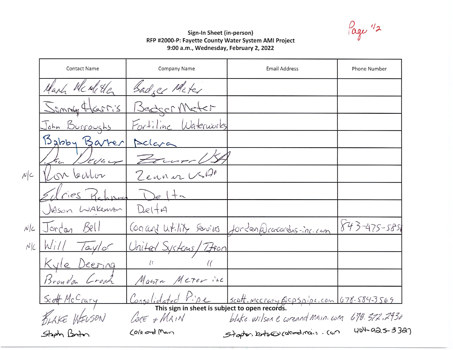Page 12

## Sign-In Sheet (in-person) RFP #2000-P: Fayette County Water System AMI Project 9:00 a.m., Wednesday, February 2, 2022

|        | <b>Contact Name</b>   | Company Name                                                                                                                                          | <b>Email Address</b>                                  | Phone Number       |  |
|--------|-----------------------|-------------------------------------------------------------------------------------------------------------------------------------------------------|-------------------------------------------------------|--------------------|--|
|        | Mark Mc relite        | Sadger Miter                                                                                                                                          |                                                       |                    |  |
|        | Semmly Harris         | Bedger Meter                                                                                                                                          |                                                       |                    |  |
|        | <u>John Burroughs</u> | Fortiline Waterworks                                                                                                                                  |                                                       |                    |  |
|        | Babby Barrer          | Aclara                                                                                                                                                |                                                       |                    |  |
|        | 2044                  |                                                                                                                                                       |                                                       |                    |  |
| N      | Callor<br>n           | Zeaner USLA                                                                                                                                           |                                                       |                    |  |
|        | riseS                 | $e$ $+$                                                                                                                                               |                                                       |                    |  |
|        | JASON WAKEWAN         | DeltA                                                                                                                                                 |                                                       |                    |  |
| $N$  c | 15e<br>Jordan         |                                                                                                                                                       | Concord Writing services for Lan @ concordus-inc. com | 843-475-5851       |  |
| N/C    | Will<br>$7a$ ylor     | United Systems<br>$7$ for                                                                                                                             |                                                       |                    |  |
|        | Kyle Deering          | $\iota$                                                                                                                                               |                                                       |                    |  |
|        | Brandon Crock         | Marta Meter inc                                                                                                                                       |                                                       |                    |  |
|        | Scott McCrary         |                                                                                                                                                       |                                                       |                    |  |
|        | KLAKE WELSON          | $\frac{\text{Coselideded P.}}{\text{This sign in sheet is subject to open records.}}$<br>blake wilson & coreand Main. com 678.372.2930<br>LORE + MAIN |                                                       |                    |  |
|        | Steph Boton           | Cole and Man                                                                                                                                          | Staper, broad (dead now , con                         | $404 - 925 - 3327$ |  |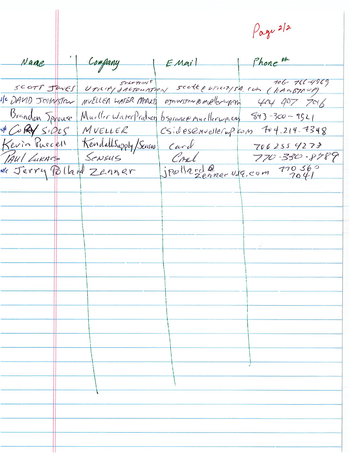Page 2/2 Company Phone #  $\leftarrow$   $\leftarrow$   $\leftarrow$   $\leftarrow$   $\leftarrow$   $\leftarrow$   $\leftarrow$   $\leftarrow$ Name SCOTT JONES UTILITY SALTOUATION SCOTT (COM (KANSTIVA)  $706 - 766 - 4969$ Ile DAVID JOHNSTON MUELLER WATER PRODUTS OJOINSTON ROMANY 404 907 7016 Brandon Jopouse Mueller WaterProducts bsprasse nuellerup.cap 843-300-9521 VECORY SIDES MUELLER CSIDESEMUELLECUP. COM F04.214.7348 Kevin Purcell Kendallsupply/Sensur Card 7062554273<br>PAUL LURACE SENSUS CARL 770-330-8789<br>Ne Jerry Polland Zenner jpollard@ 196.00m 770560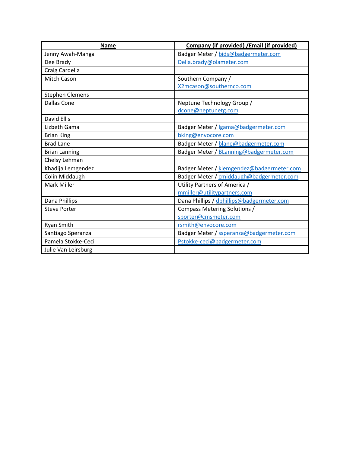| <b>Name</b>            | Company (if provided) / Email (if provided) |  |
|------------------------|---------------------------------------------|--|
| Jenny Awah-Manga       | Badger Meter / bids@badgermeter.com         |  |
| Dee Brady              | Delia.brady@olameter.com                    |  |
| Craig Cardella         |                                             |  |
| <b>Mitch Cason</b>     | Southern Company /                          |  |
|                        | X2mcason@southernco.com                     |  |
| <b>Stephen Clemens</b> |                                             |  |
| <b>Dallas Cone</b>     | Neptune Technology Group /                  |  |
|                        | dcone@neptunetg.com                         |  |
| David Ellis            |                                             |  |
| Lizbeth Gama           | Badger Meter / lgama@badgermeter.com        |  |
| <b>Brian King</b>      | bking@envocore.com                          |  |
| <b>Brad Lane</b>       | Badger Meter / blane@badgermeter.com        |  |
| <b>Brian Lanning</b>   | Badger Meter / BLanning@badgermeter.com     |  |
| Chelsy Lehman          |                                             |  |
| Khadija Lemgendez      | Badger Meter / klemgendez@badgermeter.com   |  |
| Colin Middaugh         | Badger Meter / cmiddaugh@badgermeter.com    |  |
| <b>Mark Miller</b>     | Utility Partners of America /               |  |
|                        | mmiller@utilitypartners.com                 |  |
| Dana Phillips          | Dana Phillips / dphillips@badgermeter.com   |  |
| <b>Steve Porter</b>    | Compass Metering Solutions /                |  |
|                        | sporter@cmsmeter.com                        |  |
| Ryan Smith             | rsmith@envocore.com                         |  |
| Santiago Speranza      | Badger Meter / ssperanza@badgermeter.com    |  |
| Pamela Stokke-Ceci     | Pstokke-ceci@badgermeter.com                |  |
| Julie Van Leirsburg    |                                             |  |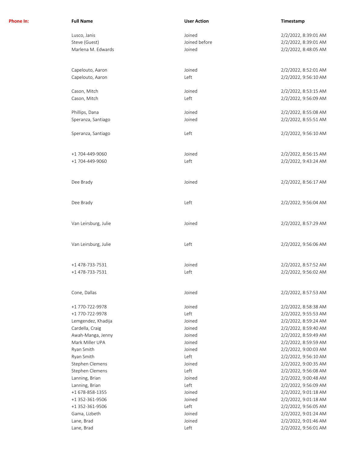| Phone In: | <b>Full Name</b>     | <b>User Action</b> | Timestamp            |
|-----------|----------------------|--------------------|----------------------|
|           | Lusco, Janis         | Joined             | 2/2/2022, 8:39:01 AM |
|           | Steve (Guest)        | Joined before      | 2/2/2022, 8:39:01 AM |
|           | Marlena M. Edwards   | Joined             | 2/2/2022, 8:48:05 AM |
|           |                      |                    |                      |
|           | Capelouto, Aaron     | Joined             | 2/2/2022, 8:52:01 AM |
|           | Capelouto, Aaron     | Left               | 2/2/2022, 9:56:10 AM |
|           | Cason, Mitch         | Joined             | 2/2/2022, 8:53:15 AM |
|           | Cason, Mitch         | Left               | 2/2/2022, 9:56:09 AM |
|           | Phillips, Dana       | Joined             | 2/2/2022, 8:55:08 AM |
|           | Speranza, Santiago   | Joined             | 2/2/2022, 8:55:51 AM |
|           | Speranza, Santiago   | Left               | 2/2/2022, 9:56:10 AM |
|           | +1 704-449-9060      | Joined             | 2/2/2022, 8:56:15 AM |
|           | +1 704-449-9060      | Left               | 2/2/2022, 9:43:24 AM |
|           |                      |                    |                      |
|           | Dee Brady            | Joined             | 2/2/2022, 8:56:17 AM |
|           | Dee Brady            | Left               | 2/2/2022, 9:56:04 AM |
|           | Van Leirsburg, Julie | Joined             | 2/2/2022, 8:57:29 AM |
|           | Van Leirsburg, Julie | Left               | 2/2/2022, 9:56:06 AM |
|           | +1 478-733-7531      | Joined             | 2/2/2022, 8:57:52 AM |
|           |                      |                    |                      |
|           | +1 478-733-7531      | Left               | 2/2/2022, 9:56:02 AM |
|           | Cone, Dallas         | Joined             | 2/2/2022, 8:57:53 AM |
|           | +1 770-722-9978      | Joined             | 2/2/2022, 8:58:38 AM |
|           | +1 770-722-9978      | Left               | 2/2/2022, 9:55:53 AM |
|           | Lemgendez, Khadija   | Joined             | 2/2/2022, 8:59:24 AM |
|           | Cardella, Craig      | Joined             | 2/2/2022, 8:59:40 AM |
|           | Awah-Manga, Jenny    | Joined             | 2/2/2022, 8:59:49 AM |
|           | Mark Miller UPA      | Joined             | 2/2/2022, 8:59:59 AM |
|           | Ryan Smith           | Joined             | 2/2/2022, 9:00:03 AM |
|           | Ryan Smith           | Left               | 2/2/2022, 9:56:10 AM |
|           | Stephen Clemens      | Joined             | 2/2/2022, 9:00:35 AM |
|           | Stephen Clemens      | Left               | 2/2/2022, 9:56:08 AM |
|           | Lanning, Brian       | Joined             | 2/2/2022, 9:00:48 AM |
|           | Lanning, Brian       | Left               | 2/2/2022, 9:56:09 AM |
|           | +1 678-858-1355      | Joined             | 2/2/2022, 9:01:18 AM |
|           | +1 352-361-9506      | Joined             | 2/2/2022, 9:01:18 AM |
|           | +1 352-361-9506      | Left               | 2/2/2022, 9:56:05 AM |
|           | Gama, Lizbeth        | Joined             | 2/2/2022, 9:01:24 AM |
|           | Lane, Brad           | Joined             | 2/2/2022, 9:01:46 AM |
|           | Lane, Brad           | Left               | 2/2/2022, 9:56:01 AM |